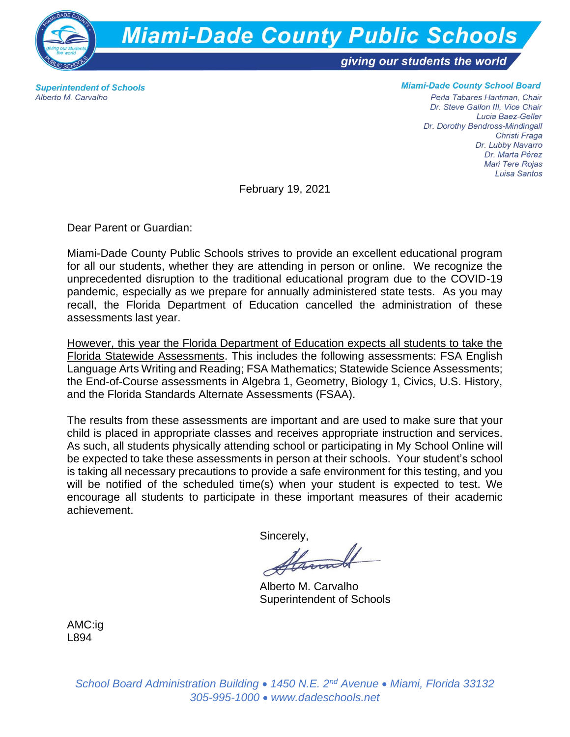

**Superintendent of Schools** Alberto M. Carvalho

## **Miami-Dade County School Board**

Perla Tabares Hantman, Chair Dr. Steve Gallon III, Vice Chair Lucia Baez-Geller Dr. Dorothy Bendross-Mindingall Christi Fraga Dr. Lubby Navarro Dr. Marta Pérez Mari Tere Rojas Luisa Santos

February 19, 2021

Dear Parent or Guardian:

Miami-Dade County Public Schools strives to provide an excellent educational program for all our students, whether they are attending in person or online. We recognize the unprecedented disruption to the traditional educational program due to the COVID-19 pandemic, especially as we prepare for annually administered state tests. As you may recall, the Florida Department of Education cancelled the administration of these assessments last year.

However, this year the Florida Department of Education expects all students to take the Florida Statewide Assessments. This includes the following assessments: FSA English Language Arts Writing and Reading; FSA Mathematics; Statewide Science Assessments; the End-of-Course assessments in Algebra 1, Geometry, Biology 1, Civics, U.S. History, and the Florida Standards Alternate Assessments (FSAA).

The results from these assessments are important and are used to make sure that your child is placed in appropriate classes and receives appropriate instruction and services. As such, all students physically attending school or participating in My School Online will be expected to take these assessments in person at their schools. Your student's school is taking all necessary precautions to provide a safe environment for this testing, and you will be notified of the scheduled time(s) when your student is expected to test. We encourage all students to participate in these important measures of their academic achievement.

Sincerely,

Alberto M. Carvalho Superintendent of Schools

AMC:ig L894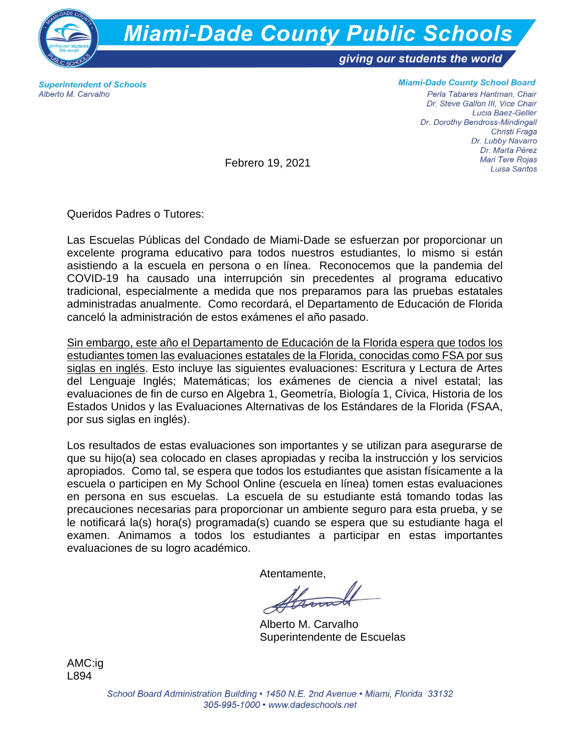

**Superintendent of Schools** Alberto M. Carvalho

**Miami-Dade County School Board** 

Perla Tabares Hantman, Chair Dr. Steve Gallon III, Vice Chair Lucia Baez-Geller Dr. Dorothy Bendross-Mindingall Christi Fraga Dr. Lubby Navarro Dr. Marta Pérez Mari Tere Rojas Luisa Santos

Febrero 19, 2021

Queridos Padres o Tutores:

Las Escuelas Públicas del Condado de Miami-Dade se esfuerzan por proporcionar un excelente programa educativo para todos nuestros estudiantes, lo mismo si están asistiendo a la escuela en persona o en línea. Reconocemos que la pandemia del COVID-19 ha causado una interrupción sin precedentes al programa educativo tradicional, especialmente a medida que nos preparamos para las pruebas estatales administradas anualmente. Como recordará, el Departamento de Educación de Florida canceló la administración de estos exámenes el año pasado.

Sin embargo, este año el Departamento de Educación de la Florida espera que todos los estudiantes tomen las evaluaciones estatales de la Florida, conocidas como FSA por sus siglas en inglés. Esto incluye las siguientes evaluaciones: Escritura y Lectura de Artes del Lenguaje Inglés; Matemáticas; los exámenes de ciencia a nivel estatal; las evaluaciones de fin de curso en Algebra 1, Geometría, Biología 1, Cívica, Historia de los Estados Unidos y las Evaluaciones Alternativas de los Estándares de la Florida (FSAA, por sus siglas en inglés).

Los resultados de estas evaluaciones son importantes y se utilizan para asegurarse de que su hijo(a) sea colocado en clases apropiadas y reciba la instrucción y los servicios apropiados. Como tal, se espera que todos los estudiantes que asistan físicamente a la escuela o participen en My School Online (escuela en línea) tomen estas evaluaciones en persona en sus escuelas. La escuela de su estudiante está tomando todas las precauciones necesarias para proporcionar un ambiente seguro para esta prueba, y se le notificará la(s) hora(s) programada(s) cuando se espera que su estudiante haga el examen. Animamos a todos los estudiantes a participar en estas importantes evaluaciones de su logro académico.

Atentamente,

Alberto M. Carvalho Superintendente de Escuelas

AMC:ig L894